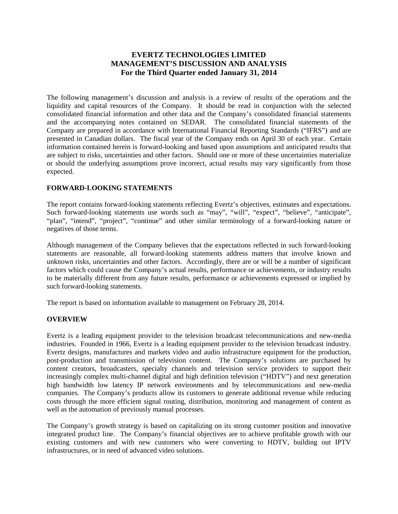# **EVERTZ TECHNOLOGIES LIMITED MANAGEMENT'S DISCUSSION AND ANALYSIS For the Third Quarter ended January 31, 2014**

The following management's discussion and analysis is a review of results of the operations and the liquidity and capital resources of the Company. It should be read in conjunction with the selected consolidated financial information and other data and the Company's consolidated financial statements and the accompanying notes contained on SEDAR. The consolidated financial statements of the Company are prepared in accordance with International Financial Reporting Standards ("IFRS") and are presented in Canadian dollars. The fiscal year of the Company ends on April 30 of each year. Certain information contained herein is forward-looking and based upon assumptions and anticipated results that are subject to risks, uncertainties and other factors. Should one or more of these uncertainties materialize or should the underlying assumptions prove incorrect, actual results may vary significantly from those expected.

# **FORWARD-LOOKING STATEMENTS**

The report contains forward-looking statements reflecting Evertz's objectives, estimates and expectations. Such forward-looking statements use words such as "may", "will", "expect", "believe", "anticipate", "plan", "intend", "project", "continue" and other similar terminology of a forward-looking nature or negatives of those terms.

Although management of the Company believes that the expectations reflected in such forward-looking statements are reasonable, all forward-looking statements address matters that involve known and unknown risks, uncertainties and other factors. Accordingly, there are or will be a number of significant factors which could cause the Company's actual results, performance or achievements, or industry results to be materially different from any future results, performance or achievements expressed or implied by such forward-looking statements.

The report is based on information available to management on February 28, 2014.

# **OVERVIEW**

Evertz is a leading equipment provider to the television broadcast telecommunications and new-media industries. Founded in 1966, Evertz is a leading equipment provider to the television broadcast industry. Evertz designs, manufactures and markets video and audio infrastructure equipment for the production, post-production and transmission of television content. The Company's solutions are purchased by content creators, broadcasters, specialty channels and television service providers to support their increasingly complex multi-channel digital and high definition television ("HDTV") and next generation high bandwidth low latency IP network environments and by telecommunications and new-media companies. The Company's products allow its customers to generate additional revenue while reducing costs through the more efficient signal routing, distribution, monitoring and management of content as well as the automation of previously manual processes.

The Company's growth strategy is based on capitalizing on its strong customer position and innovative integrated product line. The Company's financial objectives are to achieve profitable growth with our existing customers and with new customers who were converting to HDTV, building out IPTV infrastructures, or in need of advanced video solutions.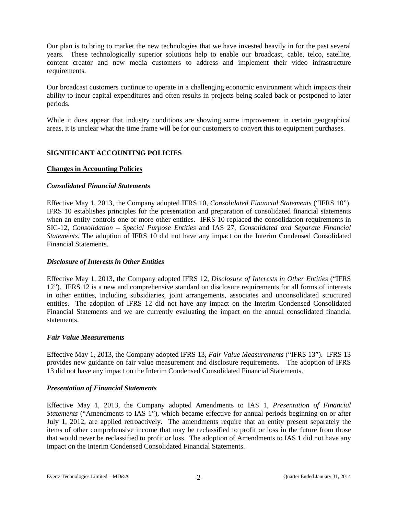Our plan is to bring to market the new technologies that we have invested heavily in for the past several years. These technologically superior solutions help to enable our broadcast, cable, telco, satellite, content creator and new media customers to address and implement their video infrastructure requirements.

Our broadcast customers continue to operate in a challenging economic environment which impacts their ability to incur capital expenditures and often results in projects being scaled back or postponed to later periods.

While it does appear that industry conditions are showing some improvement in certain geographical areas, it is unclear what the time frame will be for our customers to convert this to equipment purchases.

### **SIGNIFICANT ACCOUNTING POLICIES**

### **Changes in Accounting Policies**

### *Consolidated Financial Statements*

Effective May 1, 2013, the Company adopted IFRS 10, *Consolidated Financial Statements* ("IFRS 10"). IFRS 10 establishes principles for the presentation and preparation of consolidated financial statements when an entity controls one or more other entities. IFRS 10 replaced the consolidation requirements in SIC-12, *Consolidation – Special Purpose Entities* and IAS 27, *Consolidated and Separate Financial Statements.* The adoption of IFRS 10 did not have any impact on the Interim Condensed Consolidated Financial Statements.

### *Disclosure of Interests in Other Entities*

Effective May 1, 2013, the Company adopted IFRS 12, *Disclosure of Interests in Other Entities* ("IFRS 12"). IFRS 12 is a new and comprehensive standard on disclosure requirements for all forms of interests in other entities, including subsidiaries, joint arrangements, associates and unconsolidated structured entities. The adoption of IFRS 12 did not have any impact on the Interim Condensed Consolidated Financial Statements and we are currently evaluating the impact on the annual consolidated financial statements.

### *Fair Value Measurements*

Effective May 1, 2013, the Company adopted IFRS 13, *Fair Value Measurements* ("IFRS 13"). IFRS 13 provides new guidance on fair value measurement and disclosure requirements. The adoption of IFRS 13 did not have any impact on the Interim Condensed Consolidated Financial Statements.

### *Presentation of Financial Statements*

Effective May 1, 2013, the Company adopted Amendments to IAS 1, *Presentation of Financial Statements* ("Amendments to IAS 1"), which became effective for annual periods beginning on or after July 1, 2012, are applied retroactively. The amendments require that an entity present separately the items of other comprehensive income that may be reclassified to profit or loss in the future from those that would never be reclassified to profit or loss. The adoption of Amendments to IAS 1 did not have any impact on the Interim Condensed Consolidated Financial Statements.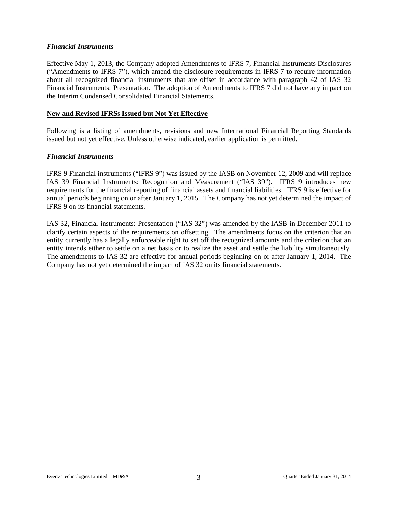### *Financial Instruments*

Effective May 1, 2013, the Company adopted Amendments to IFRS 7, Financial Instruments Disclosures ("Amendments to IFRS 7"), which amend the disclosure requirements in IFRS 7 to require information about all recognized financial instruments that are offset in accordance with paragraph 42 of IAS 32 Financial Instruments: Presentation. The adoption of Amendments to IFRS 7 did not have any impact on the Interim Condensed Consolidated Financial Statements.

### **New and Revised IFRSs Issued but Not Yet Effective**

Following is a listing of amendments, revisions and new International Financial Reporting Standards issued but not yet effective. Unless otherwise indicated, earlier application is permitted.

### *Financial Instruments*

IFRS 9 Financial instruments ("IFRS 9") was issued by the IASB on November 12, 2009 and will replace IAS 39 Financial Instruments: Recognition and Measurement ("IAS 39"). IFRS 9 introduces new requirements for the financial reporting of financial assets and financial liabilities. IFRS 9 is effective for annual periods beginning on or after January 1, 2015. The Company has not yet determined the impact of IFRS 9 on its financial statements.

IAS 32, Financial instruments: Presentation ("IAS 32") was amended by the IASB in December 2011 to clarify certain aspects of the requirements on offsetting. The amendments focus on the criterion that an entity currently has a legally enforceable right to set off the recognized amounts and the criterion that an entity intends either to settle on a net basis or to realize the asset and settle the liability simultaneously. The amendments to IAS 32 are effective for annual periods beginning on or after January 1, 2014. The Company has not yet determined the impact of IAS 32 on its financial statements.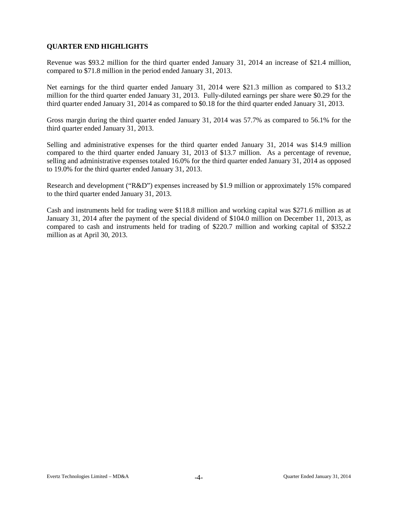# **QUARTER END HIGHLIGHTS**

Revenue was \$93.2 million for the third quarter ended January 31, 2014 an increase of \$21.4 million, compared to \$71.8 million in the period ended January 31, 2013.

Net earnings for the third quarter ended January 31, 2014 were \$21.3 million as compared to \$13.2 million for the third quarter ended January 31, 2013. Fully-diluted earnings per share were \$0.29 for the third quarter ended January 31, 2014 as compared to \$0.18 for the third quarter ended January 31, 2013.

Gross margin during the third quarter ended January 31, 2014 was 57.7% as compared to 56.1% for the third quarter ended January 31, 2013.

Selling and administrative expenses for the third quarter ended January 31, 2014 was \$14.9 million compared to the third quarter ended January 31, 2013 of \$13.7 million. As a percentage of revenue, selling and administrative expenses totaled 16.0% for the third quarter ended January 31, 2014 as opposed to 19.0% for the third quarter ended January 31, 2013.

Research and development ("R&D") expenses increased by \$1.9 million or approximately 15% compared to the third quarter ended January 31, 2013.

Cash and instruments held for trading were \$118.8 million and working capital was \$271.6 million as at January 31, 2014 after the payment of the special dividend of \$104.0 million on December 11, 2013, as compared to cash and instruments held for trading of \$220.7 million and working capital of \$352.2 million as at April 30, 2013.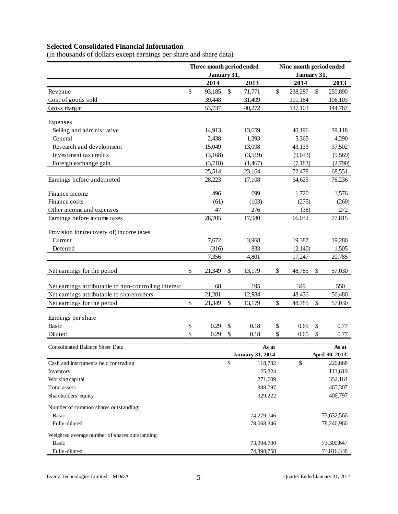# **Selected Consolidated Financial Information**

| (in thousands of dollars except earnings per share and share data) |  |  |
|--------------------------------------------------------------------|--|--|

|                                                       | Three month period ended |                         | Nine month period ended<br>January 31, |         |    |                |  |  |
|-------------------------------------------------------|--------------------------|-------------------------|----------------------------------------|---------|----|----------------|--|--|
|                                                       | January 31,              |                         |                                        |         |    |                |  |  |
|                                                       | 2014                     | 2013                    |                                        | 2014    |    | 2013           |  |  |
| Revenue                                               | \$<br>93,185             | \$<br>71,771<br>31,499  | \$                                     | 238,287 | \$ | 250,890        |  |  |
| Cost of goods sold                                    | 39,448                   |                         |                                        | 101,184 |    | 106,103        |  |  |
| Gross margin                                          | 53,737                   | 40,272                  |                                        | 137,103 |    | 144,787        |  |  |
| Expenses                                              |                          |                         |                                        |         |    |                |  |  |
| Selling and administrative                            | 14,913                   | 13,659                  |                                        | 40,196  |    | 39,118         |  |  |
| General                                               | 2,438                    | 1,393                   |                                        | 5,365   |    | 4,290          |  |  |
| Research and development                              | 15,049                   | 13,098                  |                                        | 43,133  |    | 37,502         |  |  |
| Investment tax credits                                | (3,168)                  | (3,519)                 |                                        | (9,033) |    | (9,569)        |  |  |
| Foreign exchange gain                                 | (3,718)                  | (1, 467)                |                                        | (7,183) |    | (2,790)        |  |  |
|                                                       | 25,514                   | 23,164                  |                                        | 72,478  |    | 68,551         |  |  |
| Earnings before undernoted                            | 28,223                   | 17,108                  |                                        | 64,625  |    | 76,236         |  |  |
| Finance income                                        | 496                      | 699                     |                                        | 1,720   |    | 1,576          |  |  |
| Finance costs                                         | (61)                     | (103)                   |                                        | (275)   |    | (269)          |  |  |
| Other income and expenses                             | 47                       | 276                     |                                        | (38)    |    | 272            |  |  |
| Earnings before income taxes                          | 28,705                   | 17,980                  |                                        | 66,032  |    | 77,815         |  |  |
| Provision for (recovery of) income taxes              |                          |                         |                                        |         |    |                |  |  |
| Current                                               | 7,672                    | 3,968                   |                                        | 19,387  |    | 19,280         |  |  |
| Deferred                                              | (316)                    | 833                     |                                        | (2,140) |    | 1,505          |  |  |
|                                                       | 7,356                    | 4,801                   |                                        | 17,247  |    | 20,785         |  |  |
| Net earnings for the period                           | \$<br>21,349             | \$<br>13,179            | \$                                     | 48,785  | \$ | 57,030         |  |  |
| Net earnings attributable to non-controlling interest | 68                       | 195                     |                                        | 349     |    | 550            |  |  |
| Net earnings attributable to shareholders             | 21,281                   | 12,984                  |                                        | 48,436  |    | 56,480         |  |  |
| Net earnings for the period                           | \$<br>21,349             | \$<br>13,179            | \$                                     | 48,785  | \$ | 57,030         |  |  |
|                                                       |                          |                         |                                        |         |    |                |  |  |
| Earnings per share                                    |                          |                         |                                        |         |    |                |  |  |
| Basic                                                 | \$<br>0.29               | \$<br>0.18              | \$                                     | 0.65    | \$ | 0.77           |  |  |
| Diluted                                               | \$<br>0.29               | \$<br>0.18              | \$                                     | 0.65    | \$ | 0.77           |  |  |
| Consolidated Balance Sheet Data                       |                          |                         | As at                                  |         |    | As at          |  |  |
|                                                       |                          | <b>January 31, 2014</b> |                                        |         |    | April 30, 2013 |  |  |
| Cash and instruments held for trading                 |                          | \$<br>118,782           |                                        | \$      |    | 220,668        |  |  |
| Inventory                                             |                          | 125,324                 |                                        |         |    | 111,619        |  |  |
| Working capital                                       |                          | 271,609                 |                                        |         |    | 352,164        |  |  |
| Total assets                                          |                          | 388,797                 |                                        |         |    | 465,307        |  |  |
| Shareholders' equity                                  |                          | 329,222                 |                                        |         |    | 406,797        |  |  |
| Number of common shares outstanding:                  |                          |                         |                                        |         |    |                |  |  |
| Basic                                                 |                          | 74,279,746              |                                        |         |    | 73,632,566     |  |  |
| Fully-diluted                                         |                          | 78,068,346              |                                        |         |    | 78,246,966     |  |  |
| Weighted average number of shares outstanding:        |                          |                         |                                        |         |    |                |  |  |
| <b>Basic</b>                                          |                          | 73,994,700              |                                        |         |    | 73,300,647     |  |  |
| Fully-diluted                                         |                          | 74,398,758              |                                        |         |    | 73,816,338     |  |  |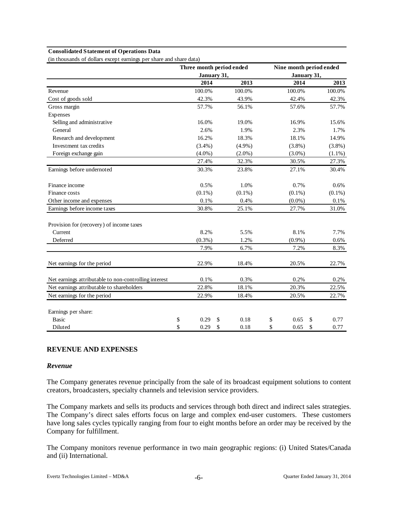#### **Consolidated Statement of Operations Data**

(in thousands of dollars except earnings per share and share data)

|                                                       |             | Three month period ended | Nine month period ended |             |            |  |  |  |
|-------------------------------------------------------|-------------|--------------------------|-------------------------|-------------|------------|--|--|--|
|                                                       | January 31, |                          |                         | January 31, |            |  |  |  |
|                                                       | 2014        | 2013                     |                         | 2014        | 2013       |  |  |  |
| Revenue                                               | 100.0%      | 100.0%                   |                         | 100.0%      | 100.0%     |  |  |  |
| Cost of goods sold                                    | 42.3%       | 43.9%                    |                         | 42.4%       | 42.3%      |  |  |  |
| Gross margin                                          | 57.7%       | 56.1%                    |                         | 57.6%       | 57.7%      |  |  |  |
| Expenses                                              |             |                          |                         |             |            |  |  |  |
| Selling and administrative                            | 16.0%       | 19.0%                    |                         | 16.9%       | 15.6%      |  |  |  |
| General                                               | 2.6%        | 1.9%                     |                         | 2.3%        | 1.7%       |  |  |  |
| Research and development                              | 16.2%       | 18.3%                    |                         | 18.1%       | 14.9%      |  |  |  |
| Investment tax credits                                | $(3.4\%)$   | $(4.9\%)$                |                         | $(3.8\%)$   | $(3.8\%)$  |  |  |  |
| Foreign exchange gain                                 | $(4.0\%)$   | $(2.0\%)$                |                         | $(3.0\%)$   | $(1.1\%)$  |  |  |  |
|                                                       | 27.4%       | 32.3%                    |                         | 30.5%       | 27.3%      |  |  |  |
| Earnings before undernoted                            | 30.3%       | 23.8%                    |                         | 27.1%       | 30.4%      |  |  |  |
| Finance income                                        | 0.5%        | 1.0%                     |                         | 0.7%        | 0.6%       |  |  |  |
| Finance costs                                         | $(0.1\%)$   | $(0.1\%)$                |                         | $(0.1\%)$   | $(0.1\%)$  |  |  |  |
| Other income and expenses                             | 0.1%        | 0.4%                     |                         | $(0.0\%)$   | 0.1%       |  |  |  |
| Earnings before income taxes                          | 30.8%       | 25.1%                    |                         | 27.7%       | 31.0%      |  |  |  |
| Provision for (recovery) of income taxes              |             |                          |                         |             |            |  |  |  |
| Current                                               | 8.2%        | 5.5%                     |                         | 8.1%        | 7.7%       |  |  |  |
| Deferred                                              | $(0.3\%)$   | 1.2%                     |                         | $(0.9\%)$   | 0.6%       |  |  |  |
|                                                       | 7.9%        | 6.7%                     |                         | 7.2%        | 8.3%       |  |  |  |
| Net earnings for the period                           | 22.9%       | 18.4%                    |                         | 20.5%       | 22.7%      |  |  |  |
| Net earnings attributable to non-controlling interest | 0.1%        | 0.3%                     |                         | 0.2%        | 0.2%       |  |  |  |
| Net earnings attributable to shareholders             | 22.8%       | 18.1%                    |                         | 20.3%       | 22.5%      |  |  |  |
| Net earnings for the period                           | 22.9%       | 18.4%                    |                         | 20.5%       | 22.7%      |  |  |  |
| Earnings per share:                                   |             |                          |                         |             |            |  |  |  |
| <b>Basic</b>                                          | \$<br>0.29  | \$<br>0.18               | \$                      | 0.65        | \$<br>0.77 |  |  |  |
| Diluted                                               | \$<br>0.29  | \$<br>0.18               | \$                      | 0.65        | \$<br>0.77 |  |  |  |

# **REVENUE AND EXPENSES**

### *Revenue*

The Company generates revenue principally from the sale of its broadcast equipment solutions to content creators, broadcasters, specialty channels and television service providers.

The Company markets and sells its products and services through both direct and indirect sales strategies. The Company's direct sales efforts focus on large and complex end-user customers. These customers have long sales cycles typically ranging from four to eight months before an order may be received by the Company for fulfillment.

The Company monitors revenue performance in two main geographic regions: (i) United States/Canada and (ii) International.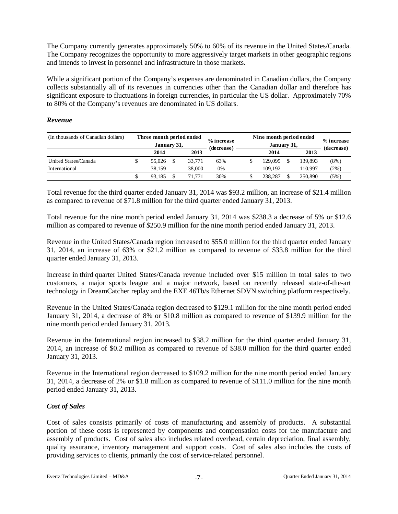The Company currently generates approximately 50% to 60% of its revenue in the United States/Canada. The Company recognizes the opportunity to more aggressively target markets in other geographic regions and intends to invest in personnel and infrastructure in those markets.

While a significant portion of the Company's expenses are denominated in Canadian dollars, the Company collects substantially all of its revenues in currencies other than the Canadian dollar and therefore has significant exposure to fluctuations in foreign currencies, in particular the US dollar. Approximately 70% to 80% of the Company's revenues are denominated in US dollars.

# *Revenue*

| (In thousands of Canadian dollars) | Three month period ended<br>January 31, |        | % increase<br>(decrease) | Nine month period ended<br>$\%$ increase<br>January 31, |  |         |            |  |  |  |
|------------------------------------|-----------------------------------------|--------|--------------------------|---------------------------------------------------------|--|---------|------------|--|--|--|
|                                    | 2014                                    | 2013   |                          | 2014                                                    |  | 2013    | (decrease) |  |  |  |
| United States/Canada               | 55,026                                  | 33.771 | 63%                      | 129.095                                                 |  | 139.893 | $(8\%)$    |  |  |  |
| International                      | 38.159                                  | 38,000 | 0%                       | 109.192                                                 |  | 110.997 | $(2\%)$    |  |  |  |
|                                    | 93.185                                  | 71.771 | 30%                      | 238.287                                                 |  | 250,890 | (5%)       |  |  |  |

Total revenue for the third quarter ended January 31, 2014 was \$93.2 million, an increase of \$21.4 million as compared to revenue of \$71.8 million for the third quarter ended January 31, 2013.

Total revenue for the nine month period ended January 31, 2014 was \$238.3 a decrease of 5% or \$12.6 million as compared to revenue of \$250.9 million for the nine month period ended January 31, 2013.

Revenue in the United States/Canada region increased to \$55.0 million for the third quarter ended January 31, 2014, an increase of 63% or \$21.2 million as compared to revenue of \$33.8 million for the third quarter ended January 31, 2013.

Increase in third quarter United States/Canada revenue included over \$15 million in total sales to two customers, a major sports league and a major network, based on recently released state-of-the-art technology in DreamCatcher replay and the EXE 46Tb/s Ethernet SDVN switching platform respectively.

Revenue in the United States/Canada region decreased to \$129.1 million for the nine month period ended January 31, 2014, a decrease of 8% or \$10.8 million as compared to revenue of \$139.9 million for the nine month period ended January 31, 2013.

Revenue in the International region increased to \$38.2 million for the third quarter ended January 31, 2014, an increase of \$0.2 million as compared to revenue of \$38.0 million for the third quarter ended January 31, 2013.

Revenue in the International region decreased to \$109.2 million for the nine month period ended January 31, 2014, a decrease of 2% or \$1.8 million as compared to revenue of \$111.0 million for the nine month period ended January 31, 2013.

# *Cost of Sales*

Cost of sales consists primarily of costs of manufacturing and assembly of products. A substantial portion of these costs is represented by components and compensation costs for the manufacture and assembly of products. Cost of sales also includes related overhead, certain depreciation, final assembly, quality assurance, inventory management and support costs. Cost of sales also includes the costs of providing services to clients, primarily the cost of service-related personnel.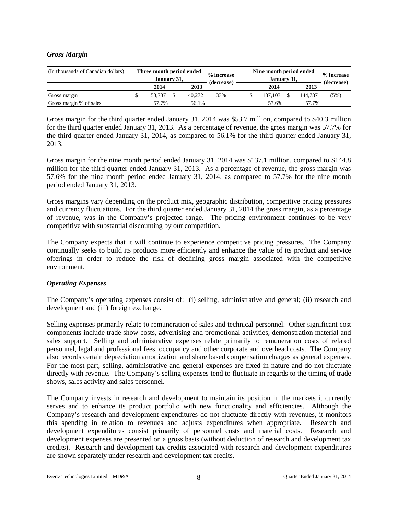# *Gross Margin*

| (In thousands of Canadian dollars) | Three month period ended<br>January 31, |        | % increase<br>(decrease) | Nine month period ended | % increase<br>(decrease) |      |         |      |
|------------------------------------|-----------------------------------------|--------|--------------------------|-------------------------|--------------------------|------|---------|------|
|                                    | 2014                                    | 2013   |                          |                         | 2014                     | 2013 |         |      |
| Gross margin                       | 53.737                                  | 40.272 | 33%                      |                         | 137.103                  |      | 144.787 | (5%) |
| Gross margin % of sales            | 57.7%                                   | 56.1%  |                          |                         | 57.6%                    |      | 57.7%   |      |

Gross margin for the third quarter ended January 31, 2014 was \$53.7 million, compared to \$40.3 million for the third quarter ended January 31, 2013. As a percentage of revenue, the gross margin was 57.7% for the third quarter ended January 31, 2014, as compared to 56.1% for the third quarter ended January 31, 2013.

Gross margin for the nine month period ended January 31, 2014 was \$137.1 million, compared to \$144.8 million for the third quarter ended January 31, 2013. As a percentage of revenue, the gross margin was 57.6% for the nine month period ended January 31, 2014, as compared to 57.7% for the nine month period ended January 31, 2013.

Gross margins vary depending on the product mix, geographic distribution, competitive pricing pressures and currency fluctuations. For the third quarter ended January 31, 2014 the gross margin, as a percentage of revenue, was in the Company's projected range. The pricing environment continues to be very competitive with substantial discounting by our competition.

The Company expects that it will continue to experience competitive pricing pressures. The Company continually seeks to build its products more efficiently and enhance the value of its product and service offerings in order to reduce the risk of declining gross margin associated with the competitive environment.

### *Operating Expenses*

The Company's operating expenses consist of: (i) selling, administrative and general; (ii) research and development and (iii) foreign exchange.

Selling expenses primarily relate to remuneration of sales and technical personnel. Other significant cost components include trade show costs, advertising and promotional activities, demonstration material and sales support. Selling and administrative expenses relate primarily to remuneration costs of related personnel, legal and professional fees, occupancy and other corporate and overhead costs. The Company also records certain depreciation amortization and share based compensation charges as general expenses. For the most part, selling, administrative and general expenses are fixed in nature and do not fluctuate directly with revenue. The Company's selling expenses tend to fluctuate in regards to the timing of trade shows, sales activity and sales personnel.

The Company invests in research and development to maintain its position in the markets it currently serves and to enhance its product portfolio with new functionality and efficiencies. Although the Company's research and development expenditures do not fluctuate directly with revenues, it monitors this spending in relation to revenues and adjusts expenditures when appropriate. Research and development expenditures consist primarily of personnel costs and material costs. Research and development expenses are presented on a gross basis (without deduction of research and development tax credits). Research and development tax credits associated with research and development expenditures are shown separately under research and development tax credits.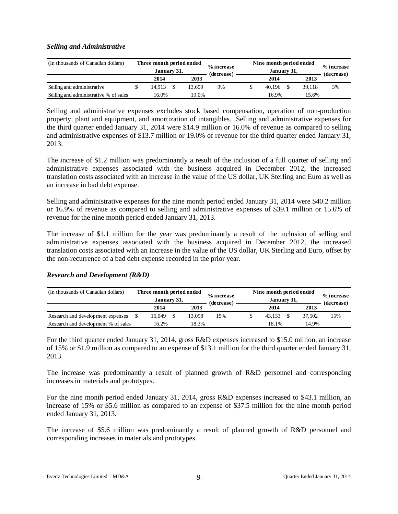# *Selling and Administrative*

| (In thousands of Canadian dollars)    | Three month period ended<br>January 31, |        |  |        | % increase<br>(decrease) | Nine month period ended | % increase<br>(decrease) |        |    |  |
|---------------------------------------|-----------------------------------------|--------|--|--------|--------------------------|-------------------------|--------------------------|--------|----|--|
|                                       |                                         | 2014   |  | 2013   |                          |                         | 2014                     | 2013   |    |  |
| Selling and administrative            |                                         | 14.913 |  | 13.659 | 9%                       |                         | 40.196                   | 39.118 | 3% |  |
| Selling and administrative % of sales |                                         | 16.0%  |  | 19.0%  |                          |                         | 16.9%                    | 15.6%  |    |  |

Selling and administrative expenses excludes stock based compensation, operation of non-production property, plant and equipment, and amortization of intangibles. Selling and administrative expenses for the third quarter ended January 31, 2014 were \$14.9 million or 16.0% of revenue as compared to selling and administrative expenses of \$13.7 million or 19.0% of revenue for the third quarter ended January 31, 2013.

The increase of \$1.2 million was predominantly a result of the inclusion of a full quarter of selling and administrative expenses associated with the business acquired in December 2012, the increased translation costs associated with an increase in the value of the US dollar, UK Sterling and Euro as well as an increase in bad debt expense.

Selling and administrative expenses for the nine month period ended January 31, 2014 were \$40.2 million or 16.9% of revenue as compared to selling and administrative expenses of \$39.1 million or 15.6% of revenue for the nine month period ended January 31, 2013.

The increase of \$1.1 million for the year was predominantly a result of the inclusion of selling and administrative expenses associated with the business acquired in December 2012, the increased translation costs associated with an increase in the value of the US dollar, UK Sterling and Euro, offset by the non-recurrence of a bad debt expense recorded in the prior year.

# *Research and Development (R&D)*

| (In thousands of Canadian dollars)  | Three month period ended<br>January 31, |        | % increase<br>(decrease) | Nine month period ended | % increase<br>(decrease) |        |     |  |
|-------------------------------------|-----------------------------------------|--------|--------------------------|-------------------------|--------------------------|--------|-----|--|
|                                     | 2014                                    | 2013   |                          |                         | 2014                     | 2013   |     |  |
| Research and development expenses   | 15.049                                  | 13.098 | 15%                      |                         | 43.133                   | 37.502 | 15% |  |
| Research and development % of sales | 16.2%                                   | 18.3%  |                          |                         | 18.1%                    | 14.9%  |     |  |

For the third quarter ended January 31, 2014, gross R&D expenses increased to \$15.0 million, an increase of 15% or \$1.9 million as compared to an expense of \$13.1 million for the third quarter ended January 31, 2013.

The increase was predominantly a result of planned growth of R&D personnel and corresponding increases in materials and prototypes.

For the nine month period ended January 31, 2014, gross R&D expenses increased to \$43.1 million, an increase of 15% or \$5.6 million as compared to an expense of \$37.5 million for the nine month period ended January 31, 2013.

The increase of \$5.6 million was predominantly a result of planned growth of R&D personnel and corresponding increases in materials and prototypes.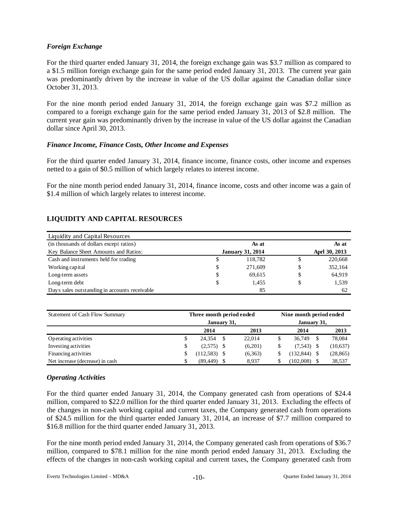# *Foreign Exchange*

For the third quarter ended January 31, 2014, the foreign exchange gain was \$3.7 million as compared to a \$1.5 million foreign exchange gain for the same period ended January 31, 2013. The current year gain was predominantly driven by the increase in value of the US dollar against the Canadian dollar since October 31, 2013.

For the nine month period ended January 31, 2014, the foreign exchange gain was \$7.2 million as compared to a foreign exchange gain for the same period ended January 31, 2013 of \$2.8 million. The current year gain was predominantly driven by the increase in value of the US dollar against the Canadian dollar since April 30, 2013.

# *Finance Income, Finance Costs, Other Income and Expenses*

For the third quarter ended January 31, 2014, finance income, finance costs, other income and expenses netted to a gain of \$0.5 million of which largely relates to interest income.

For the nine month period ended January 31, 2014, finance income, costs and other income was a gain of \$1.4 million of which largely relates to interest income.

# **LIQUIDITY AND CAPITAL RESOURCES**

| Liquidity and Capital Resources               |    |                         |               |
|-----------------------------------------------|----|-------------------------|---------------|
| (in thousands of dollars except ratios)       |    | As at                   | As at         |
| Key Balance Sheet Amounts and Ratios:         |    | <b>January 31, 2014</b> | Aprl 30, 2013 |
| Cash and instruments held for trading         | S  | 118.782                 | 220,668       |
| Working capital                               | S  | 271,609                 | 352,164       |
| Long-term assets                              | S  | 69.615                  | \$<br>64,919  |
| Long-term debt                                | \$ | 1.455                   | \$<br>1,539   |
| Days sales outstanding in accounts receivable |    | 85                      | 62            |

| Statement of Cash Flow Summary  | Three month period ended |              | Nine month period ended |     |           |  |  |  |  |
|---------------------------------|--------------------------|--------------|-------------------------|-----|-----------|--|--|--|--|
|                                 | January 31,              | January 31,  |                         |     |           |  |  |  |  |
|                                 | 2014                     | 2013         | 2014                    |     | 2013      |  |  |  |  |
| Operating activities            | \$<br>24.354             | \$<br>22,014 | 36,749                  | -\$ | 78,084    |  |  |  |  |
| Investing activities            | \$<br>$(2,575)$ \$       | (6,201)      | $(7,543)$ \$            |     | (10,637)  |  |  |  |  |
| Financing activities            | \$<br>$(112,583)$ \$     | (6,363)      | (132, 844)              | -\$ | (28, 865) |  |  |  |  |
| Net increase (decrease) in cash | (89, 449)                | 8.937        | (102,008)               | S   | 38,537    |  |  |  |  |

# *Operating Activities*

For the third quarter ended January 31, 2014, the Company generated cash from operations of \$24.4 million, compared to \$22.0 million for the third quarter ended January 31, 2013. Excluding the effects of the changes in non-cash working capital and current taxes, the Company generated cash from operations of \$24.5 million for the third quarter ended January 31, 2014, an increase of \$7.7 million compared to \$16.8 million for the third quarter ended January 31, 2013.

For the nine month period ended January 31, 2014, the Company generated cash from operations of \$36.7 million, compared to \$78.1 million for the nine month period ended January 31, 2013. Excluding the effects of the changes in non-cash working capital and current taxes, the Company generated cash from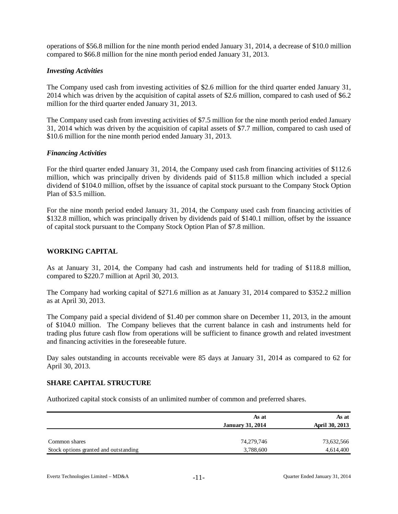operations of \$56.8 million for the nine month period ended January 31, 2014, a decrease of \$10.0 million compared to \$66.8 million for the nine month period ended January 31, 2013.

# *Investing Activities*

The Company used cash from investing activities of \$2.6 million for the third quarter ended January 31, 2014 which was driven by the acquisition of capital assets of \$2.6 million, compared to cash used of \$6.2 million for the third quarter ended January 31, 2013.

The Company used cash from investing activities of \$7.5 million for the nine month period ended January 31, 2014 which was driven by the acquisition of capital assets of \$7.7 million, compared to cash used of \$10.6 million for the nine month period ended January 31, 2013.

# *Financing Activities*

For the third quarter ended January 31, 2014, the Company used cash from financing activities of \$112.6 million, which was principally driven by dividends paid of \$115.8 million which included a special dividend of \$104.0 million, offset by the issuance of capital stock pursuant to the Company Stock Option Plan of \$3.5 million.

For the nine month period ended January 31, 2014, the Company used cash from financing activities of \$132.8 million, which was principally driven by dividends paid of \$140.1 million, offset by the issuance of capital stock pursuant to the Company Stock Option Plan of \$7.8 million.

# **WORKING CAPITAL**

As at January 31, 2014, the Company had cash and instruments held for trading of \$118.8 million, compared to \$220.7 million at April 30, 2013.

The Company had working capital of \$271.6 million as at January 31, 2014 compared to \$352.2 million as at April 30, 2013.

The Company paid a special dividend of \$1.40 per common share on December 11, 2013, in the amount of \$104.0 million. The Company believes that the current balance in cash and instruments held for trading plus future cash flow from operations will be sufficient to finance growth and related investment and financing activities in the foreseeable future.

Day sales outstanding in accounts receivable were 85 days at January 31, 2014 as compared to 62 for April 30, 2013.

### **SHARE CAPITAL STRUCTURE**

Authorized capital stock consists of an unlimited number of common and preferred shares.

|                                       | As at<br><b>January 31, 2014</b> | As at<br>April 30, 2013 |
|---------------------------------------|----------------------------------|-------------------------|
| Common shares                         | 74,279,746                       | 73,632,566              |
| Stock options granted and outstanding | 3,788,600                        | 4,614,400               |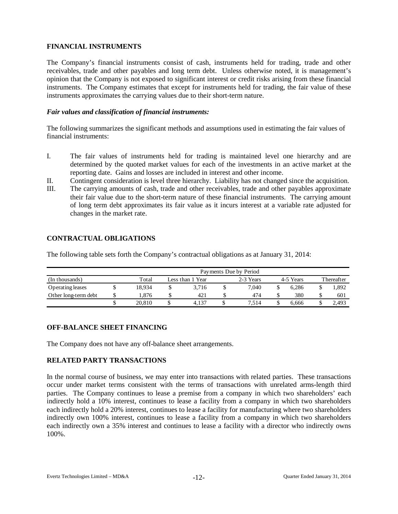# **FINANCIAL INSTRUMENTS**

The Company's financial instruments consist of cash, instruments held for trading, trade and other receivables, trade and other payables and long term debt. Unless otherwise noted, it is management's opinion that the Company is not exposed to significant interest or credit risks arising from these financial instruments. The Company estimates that except for instruments held for trading, the fair value of these instruments approximates the carrying values due to their short-term nature.

# *Fair values and classification of financial instruments:*

The following summarizes the significant methods and assumptions used in estimating the fair values of financial instruments:

- I. The fair values of instruments held for trading is maintained level one hierarchy and are determined by the quoted market values for each of the investments in an active market at the reporting date. Gains and losses are included in interest and other income.
- II. Contingent consideration is level three hierarchy. Liability has not changed since the acquisition.
- III. The carrying amounts of cash, trade and other receivables, trade and other payables approximate their fair value due to the short-term nature of these financial instruments. The carrying amount of long term debt approximates its fair value as it incurs interest at a variable rate adjusted for changes in the market rate.

# **CONTRACTUAL OBLIGATIONS**

The following table sets forth the Company's contractual obligations as at January 31, 2014:

|                      | Payments Due by Period |  |                  |  |           |  |           |            |       |  |  |  |  |
|----------------------|------------------------|--|------------------|--|-----------|--|-----------|------------|-------|--|--|--|--|
| (In thousands)       | Total                  |  | Less than 1 Year |  | 2-3 Years |  | 4-5 Years | Thereafter |       |  |  |  |  |
| Operating leases     | 18.934                 |  | 3.716            |  | 7.040     |  | 6.286     |            | 1.892 |  |  |  |  |
| Other long-term debt | 1.876                  |  | 421              |  | 474       |  | 380       |            | 601   |  |  |  |  |
|                      | 20,810                 |  | 4.137            |  | 7.514     |  | 6.666     |            | 2.493 |  |  |  |  |

# **OFF-BALANCE SHEET FINANCING**

The Company does not have any off-balance sheet arrangements.

# **RELATED PARTY TRANSACTIONS**

In the normal course of business, we may enter into transactions with related parties. These transactions occur under market terms consistent with the terms of transactions with unrelated arms-length third parties. The Company continues to lease a premise from a company in which two shareholders' each indirectly hold a 10% interest, continues to lease a facility from a company in which two shareholders each indirectly hold a 20% interest, continues to lease a facility for manufacturing where two shareholders indirectly own 100% interest, continues to lease a facility from a company in which two shareholders each indirectly own a 35% interest and continues to lease a facility with a director who indirectly owns 100%.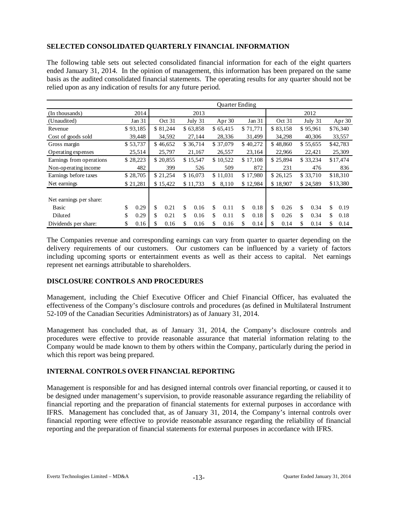# **SELECTED CONSOLIDATED QUARTERLY FINANCIAL INFORMATION**

The following table sets out selected consolidated financial information for each of the eight quarters ended January 31, 2014. In the opinion of management, this information has been prepared on the same basis as the audited consolidated financial statements. The operating results for any quarter should not be relied upon as any indication of results for any future period.

|                                         |            | Quarter Ending |          |    |          |     |          |    |          |    |          |    |          |    |          |
|-----------------------------------------|------------|----------------|----------|----|----------|-----|----------|----|----------|----|----------|----|----------|----|----------|
| (In thousands)                          | 2014       |                |          |    | 2013     |     |          |    |          |    |          |    | 2012     |    |          |
| (Unaudited)                             | Jan 31     |                | Oct 31   |    | July 31  |     | Apr $30$ |    | Jan 31   |    | Oct 31   |    | July 31  |    | Apr $30$ |
| Revenue                                 | \$93,185   |                | \$81,244 |    | \$63,858 |     | \$65,415 |    | \$71,771 |    | \$83,158 |    | \$95,961 |    | \$76,340 |
| Cost of goods sold                      | 39,448     |                | 34,592   |    | 27,144   |     | 28,336   |    | 31,499   |    | 34,298   |    | 40,306   |    | 33,557   |
| Gross margin                            | \$53,737   |                | \$46,652 |    | \$36,714 |     | \$37,079 |    | \$40,272 |    | \$48,860 |    | \$55,655 |    | \$42,783 |
| Operating expenses                      | 25,514     |                | 25,797   |    | 21,167   |     | 26,557   |    | 23,164   |    | 22,966   |    | 22,421   |    | 25,309   |
| Earnings from operations                | \$28,223   |                | \$20,855 |    | \$15,547 |     | \$10,522 |    | \$17,108 |    | \$25,894 |    | \$33,234 |    | \$17,474 |
| Non-operating income                    | 482        |                | 399      |    | 526      |     | 509      |    | 872      |    | 231      |    | 476      |    | 836      |
| Earnings before taxes                   | \$28,705   |                | \$21,254 |    | \$16,073 |     | \$11,031 |    | \$17,980 |    | \$26,125 |    | \$33,710 |    | \$18,310 |
| Net earnings                            | \$21,281   |                | \$15,422 |    | \$11,733 | \$  | 8,110    |    | \$12,984 |    | \$18,907 |    | \$24,589 |    | \$13,380 |
| Net earnings per share:<br><b>Basic</b> | \$<br>0.29 | \$             | 0.21     | \$ | 0.16     | \$. | 0.11     | \$ | 0.18     | \$ | 0.26     | \$ | 0.34     | \$ | 0.19     |
| Diluted                                 | \$<br>0.29 | \$             | 0.21     | \$ | 0.16     | \$  | 0.11     | \$ | 0.18     | \$ | 0.26     | \$ | 0.34     | \$ | 0.18     |
| Dividends per share:                    | \$<br>0.16 | \$             | 0.16     | S  | 0.16     | S.  | 0.16     | \$ | 0.14     | \$ | 0.14     | \$ | 0.14     | \$ | 0.14     |

The Companies revenue and corresponding earnings can vary from quarter to quarter depending on the delivery requirements of our customers. Our customers can be influenced by a variety of factors including upcoming sports or entertainment events as well as their access to capital. Net earnings represent net earnings attributable to shareholders.

# **DISCLOSURE CONTROLS AND PROCEDURES**

Management, including the Chief Executive Officer and Chief Financial Officer, has evaluated the effectiveness of the Company's disclosure controls and procedures (as defined in Multilateral Instrument 52-109 of the Canadian Securities Administrators) as of January 31, 2014.

Management has concluded that, as of January 31, 2014, the Company's disclosure controls and procedures were effective to provide reasonable assurance that material information relating to the Company would be made known to them by others within the Company, particularly during the period in which this report was being prepared.

# **INTERNAL CONTROLS OVER FINANCIAL REPORTING**

Management is responsible for and has designed internal controls over financial reporting, or caused it to be designed under management's supervision, to provide reasonable assurance regarding the reliability of financial reporting and the preparation of financial statements for external purposes in accordance with IFRS. Management has concluded that, as of January 31, 2014, the Company's internal controls over financial reporting were effective to provide reasonable assurance regarding the reliability of financial reporting and the preparation of financial statements for external purposes in accordance with IFRS.